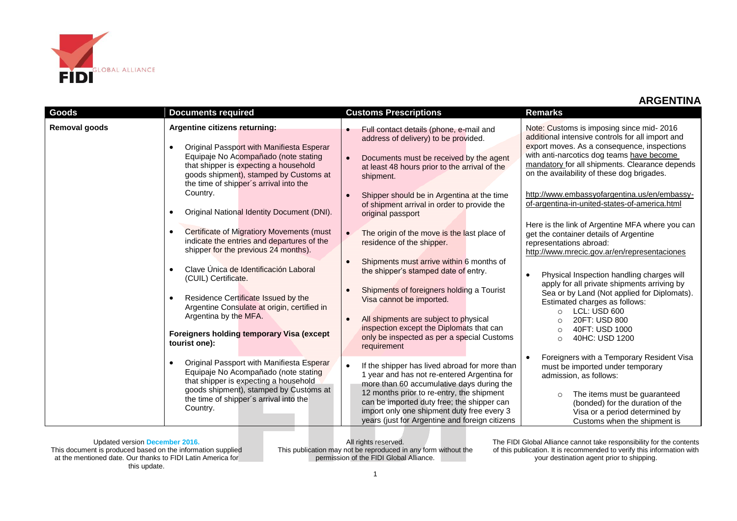

| Goods         | <b>Documents required</b>                                                                                                                                                                                                                                                                                                                                                                                                                                                             | <b>Customs Prescriptions</b>                                                                                                                                                                                                                                                                                                                                                                                              | <b>Remarks</b>                                                                                                                                                                                                                                                                                                                                                                                                                                                         |
|---------------|---------------------------------------------------------------------------------------------------------------------------------------------------------------------------------------------------------------------------------------------------------------------------------------------------------------------------------------------------------------------------------------------------------------------------------------------------------------------------------------|---------------------------------------------------------------------------------------------------------------------------------------------------------------------------------------------------------------------------------------------------------------------------------------------------------------------------------------------------------------------------------------------------------------------------|------------------------------------------------------------------------------------------------------------------------------------------------------------------------------------------------------------------------------------------------------------------------------------------------------------------------------------------------------------------------------------------------------------------------------------------------------------------------|
| Removal goods | Argentine citizens returning:<br>Original Passport with Manifiesta Esperar<br>$\bullet$<br>Equipaje No Acompañado (note stating<br>that shipper is expecting a household<br>goods shipment), stamped by Customs at<br>the time of shipper's arrival into the<br>Country.                                                                                                                                                                                                              | Full contact details (phone, e-mail and<br>address of delivery) to be provided.<br>Documents must be received by the agent<br>at least 48 hours prior to the arrival of the<br>shipment.<br>Shipper should be in Argentina at the time<br>of shipment arrival in order to provide the                                                                                                                                     | Note: Customs is imposing since mid-2016<br>additional intensive controls for all import and<br>export moves. As a consequence, inspections<br>with anti-narcotics dog teams have become<br>mandatory for all shipments. Clearance depends<br>on the availability of these dog brigades.<br>http://www.embassyofargentina.us/en/embassy-<br>of-argentina-in-united-states-of-america.html                                                                              |
|               | Original National Identity Document (DNI).<br>$\bullet$<br><b>Certificate of Migratiory Movements (must</b><br>$\bullet$<br>indicate the entries and departures of the<br>shipper for the previous 24 months).<br>Clave Única de Identificación Laboral<br>$\bullet$<br>(CUIL) Certificate.<br>Residence Certificate Issued by the<br>$\bullet$<br>Argentine Consulate at origin, certified in<br>Argentina by the MFA.<br>Foreigners holding temporary Visa (except<br>tourist one): | original passport<br>The origin of the move is the last place of<br>residence of the shipper.<br>Shipments must arrive within 6 months of<br>the shipper's stamped date of entry.<br>Shipments of foreigners holding a Tourist<br>Visa cannot be imported.<br>All shipments are subject to physical<br>$\bullet$<br>inspection except the Diplomats that can<br>only be inspected as per a special Customs<br>requirement | Here is the link of Argentine MFA where you can<br>get the container details of Argentine<br>representations abroad:<br>http://www.mrecic.gov.ar/en/representaciones<br>Physical Inspection handling charges will<br>apply for all private shipments arriving by<br>Sea or by Land (Not applied for Diplomats).<br>Estimated charges as follows:<br>LCL: USD 600<br>$\Omega$<br>20FT: USD 800<br>$\Omega$<br>40FT: USD 1000<br>$\circ$<br>40HC: USD 1200<br>$\bigcirc$ |
|               | Original Passport with Manifiesta Esperar<br>Equipaje No Acompañado (note stating<br>that shipper is expecting a household<br>goods shipment), stamped by Customs at<br>the time of shipper's arrival into the<br>Country.                                                                                                                                                                                                                                                            | If the shipper has lived abroad for more than<br>$\bullet$<br>1 year and has not re-entered Argentina for<br>more than 60 accumulative days during the<br>12 months prior to re-entry, the shipment<br>can be imported duty free; the shipper can<br>import only one shipment duty free every 3<br>years (just for Argentine and foreign citizens                                                                         | Foreigners with a Temporary Resident Visa<br>must be imported under temporary<br>admission, as follows:<br>The items must be guaranteed<br>$\circ$<br>(bonded) for the duration of the<br>Visa or a period determined by<br>Customs when the shipment is                                                                                                                                                                                                               |

Updated version **December 2016.** This document is produced based on the information supplied at the mentioned date. Our thanks to FIDI Latin America for this update.

All rights reserved. This publication may not be reproduced in any form without the permission of the FIDI Global Alliance.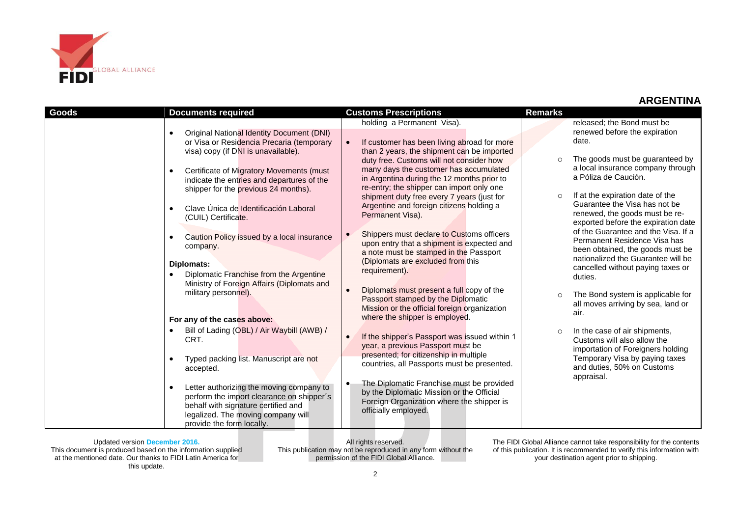

| <b>Goods</b> | <b>Documents required</b>                                     | <b>Customs Prescriptions</b>                                                       | <b>Remarks</b> |                                                                       |
|--------------|---------------------------------------------------------------|------------------------------------------------------------------------------------|----------------|-----------------------------------------------------------------------|
|              |                                                               | holding a Permanent Visa).                                                         |                | released; the Bond must be                                            |
|              | <b>Original National Identity Document (DNI)</b><br>$\bullet$ |                                                                                    |                | renewed before the expiration                                         |
|              | or Visa or Residencia Precaria (temporary                     | If customer has been living abroad for more<br>$\bullet$                           |                | date.                                                                 |
|              | visa) copy (if DNI is unavailable).                           | than 2 years, the shipment can be imported                                         |                |                                                                       |
|              |                                                               | duty free. Customs will not consider how                                           | $\circ$        | The goods must be guaranteed by                                       |
|              | Certificate of Migratory Movements (must                      | many days the customer has accumulated                                             |                | a local insurance company through                                     |
|              | indicate the entries and departures of the                    | in Argentina during the 12 months prior to                                         |                | a Póliza de Caución.                                                  |
|              | shipper for the previous 24 months).                          | re-entry; the shipper can import only one                                          |                |                                                                       |
|              |                                                               | shipment duty free every 7 years (just for                                         | $\circ$        | If at the expiration date of the                                      |
|              | Clave Única de Identificación Laboral                         | Argentine and foreign citizens holding a                                           |                | Guarantee the Visa has not be                                         |
|              | (CUIL) Certificate.                                           | Permanent Visa).                                                                   |                | renewed, the goods must be re-<br>exported before the expiration date |
|              |                                                               |                                                                                    |                | of the Guarantee and the Visa. If a                                   |
|              | Caution Policy issued by a local insurance<br>$\bullet$       | Shippers must declare to Customs officers<br>$\bullet$                             |                | Permanent Residence Visa has                                          |
|              | company.                                                      | upon entry that a shipment is expected and                                         |                | been obtained, the goods must be                                      |
|              |                                                               | a note must be stamped in the Passport                                             |                | nationalized the Guarantee will be                                    |
|              | Diplomats:                                                    | (Diplomats are excluded from this                                                  |                | cancelled without paying taxes or                                     |
|              | Diplomatic Franchise from the Argentine<br>$\bullet$          | requirement).                                                                      |                | duties.                                                               |
|              | Ministry of Foreign Affairs (Diplomats and                    |                                                                                    |                |                                                                       |
|              | military personnel).                                          | Diplomats must present a full copy of the<br>$\bullet$                             | $\Omega$       | The Bond system is applicable for                                     |
|              |                                                               | Passport stamped by the Diplomatic<br>Mission or the official foreign organization |                | all moves arriving by sea, land or                                    |
|              |                                                               | where the shipper is employed.                                                     |                | air.                                                                  |
|              | For any of the cases above:                                   |                                                                                    |                |                                                                       |
|              | Bill of Lading (OBL) / Air Waybill (AWB) /                    | $\bullet$                                                                          | $\circ$        | In the case of air shipments,                                         |
|              | CRT.                                                          | If the shipper's Passport was issued within 1                                      |                | Customs will also allow the                                           |
|              |                                                               | year, a previous Passport must be<br>presented; for citizenship in multiple        |                | importation of Foreigners holding                                     |
|              | Typed packing list. Manuscript are not                        | countries, all Passports must be presented.                                        |                | Temporary Visa by paying taxes                                        |
|              | accepted.                                                     |                                                                                    |                | and duties, 50% on Customs                                            |
|              |                                                               | The Diplomatic Franchise must be provided<br>$\bullet$                             |                | appraisal.                                                            |
|              | Letter authorizing the moving company to<br>٠                 | by the Diplomatic Mission or the Official                                          |                |                                                                       |
|              | perform the import clearance on shipper's                     | Foreign Organization where the shipper is                                          |                |                                                                       |
|              | behalf with signature certified and                           | officially employed.                                                               |                |                                                                       |
|              | legalized. The moving company will                            |                                                                                    |                |                                                                       |
|              | provide the form locally.                                     |                                                                                    |                |                                                                       |

Updated version **December 2016.** This document is produced based on the information supplied at the mentioned date. Our thanks to FIDI Latin America for this update.

All rights reserved. This publication may not be reproduced in any form without the permission of the FIDI Global Alliance.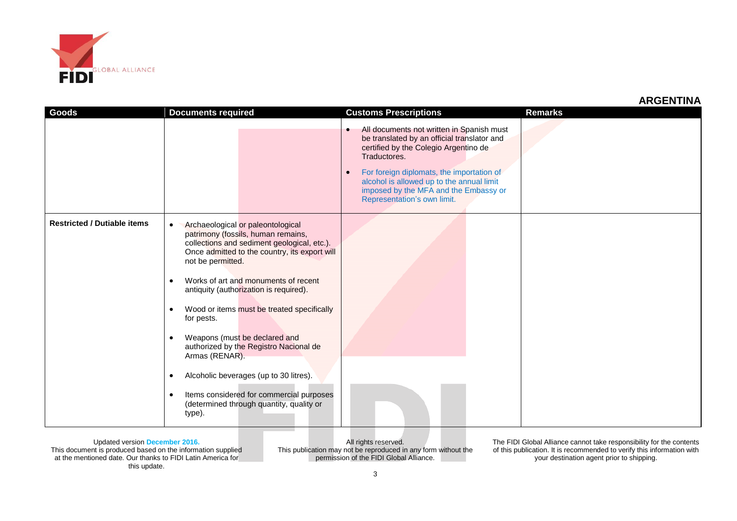

| Goods                              | <b>Documents required</b>                                                                                                                                                                                                                                                                                                                                                                                                                                                                                                                                                                                                                                         | <b>Customs Prescriptions</b>                                                                                                                                                                                                                                                                                                                  | <b>Remarks</b> |
|------------------------------------|-------------------------------------------------------------------------------------------------------------------------------------------------------------------------------------------------------------------------------------------------------------------------------------------------------------------------------------------------------------------------------------------------------------------------------------------------------------------------------------------------------------------------------------------------------------------------------------------------------------------------------------------------------------------|-----------------------------------------------------------------------------------------------------------------------------------------------------------------------------------------------------------------------------------------------------------------------------------------------------------------------------------------------|----------------|
|                                    |                                                                                                                                                                                                                                                                                                                                                                                                                                                                                                                                                                                                                                                                   | All documents not written in Spanish must<br>$\bullet$<br>be translated by an official translator and<br>certified by the Colegio Argentino de<br>Traductores.<br>For foreign diplomats, the importation of<br>$\bullet$<br>alcohol is allowed up to the annual limit<br>imposed by the MFA and the Embassy or<br>Representation's own limit. |                |
| <b>Restricted / Dutiable items</b> | Archaeological or paleontological<br>$\bullet$<br>patrimony (fossils, human remains,<br>collections and sediment geological, etc.).<br>Once admitted to the country, its export will<br>not be permitted.<br>Works of art and monuments of recent<br>$\bullet$<br>antiquity (authorization is required).<br>Wood or items must be treated specifically<br>$\bullet$<br>for pests.<br>Weapons (must be declared and<br>$\bullet$<br>authorized by the Registro Nacional de<br>Armas (RENAR).<br>Alcoholic beverages (up to 30 litres).<br>$\bullet$<br>Items considered for commercial purposes<br>$\bullet$<br>(determined through quantity, quality or<br>type). |                                                                                                                                                                                                                                                                                                                                               |                |

Updated version **December 2016.** This document is produced based on the information supplied at the mentioned date. Our thanks to FIDI Latin America for this update.

All rights reserved. This publication may not be reproduced in any form without the permission of the FIDI Global Alliance.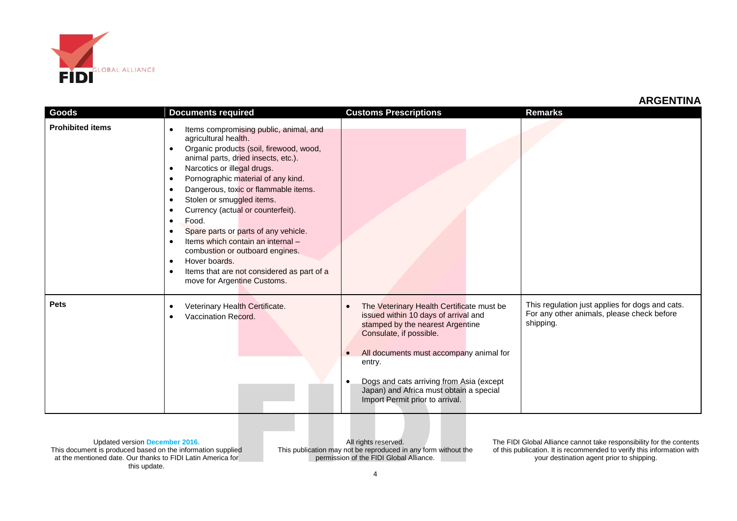

|                         |                                                                                                                                                                                                                                                                                                                                                                                                                                                                                                                                                                                                                                                        |                                                                                                                                                                                                                                                                                                                                                                        | МІЧУЫІ ШІЛ                                                                                                 |
|-------------------------|--------------------------------------------------------------------------------------------------------------------------------------------------------------------------------------------------------------------------------------------------------------------------------------------------------------------------------------------------------------------------------------------------------------------------------------------------------------------------------------------------------------------------------------------------------------------------------------------------------------------------------------------------------|------------------------------------------------------------------------------------------------------------------------------------------------------------------------------------------------------------------------------------------------------------------------------------------------------------------------------------------------------------------------|------------------------------------------------------------------------------------------------------------|
| Goods                   | <b>Documents required</b>                                                                                                                                                                                                                                                                                                                                                                                                                                                                                                                                                                                                                              | <b>Customs Prescriptions</b>                                                                                                                                                                                                                                                                                                                                           | <b>Remarks</b>                                                                                             |
| <b>Prohibited items</b> | Items compromising public, animal, and<br>$\bullet$<br>agricultural health.<br>Organic products (soil, firewood, wood,<br>$\bullet$<br>animal parts, dried insects, etc.).<br>Narcotics or illegal drugs.<br>$\bullet$<br>Pornographic material of any kind.<br>$\bullet$<br>Dangerous, toxic or flammable items.<br>٠<br>Stolen or smuggled items.<br>Currency (actual or counterfeit).<br>Food.<br>$\bullet$<br>Spare parts or parts of any vehicle.<br>Items which contain an internal -<br>combustion or outboard engines.<br>Hover boards.<br>$\bullet$<br>Items that are not considered as part of a<br>$\bullet$<br>move for Argentine Customs. |                                                                                                                                                                                                                                                                                                                                                                        |                                                                                                            |
| <b>Pets</b>             | Veterinary Health Certificate.<br>$\bullet$<br>Vaccination Record.                                                                                                                                                                                                                                                                                                                                                                                                                                                                                                                                                                                     | The Veterinary Health Certificate must be<br>$\bullet$<br>issued within 10 days of arrival and<br>stamped by the nearest Argentine<br>Consulate, if possible.<br>All documents must accompany animal for<br>$\bullet$<br>entry.<br>Dogs and cats arriving from Asia (except<br>$\bullet$<br>Japan) and Africa must obtain a special<br>Import Permit prior to arrival. | This regulation just applies for dogs and cats.<br>For any other animals, please check before<br>shipping. |

Updated version **December 2016.** This document is produced based on the information supplied at the mentioned date. Our thanks to FIDI Latin America for this update.

All rights reserved. This publication may not be reproduced in any form without the permission of the FIDI Global Alliance.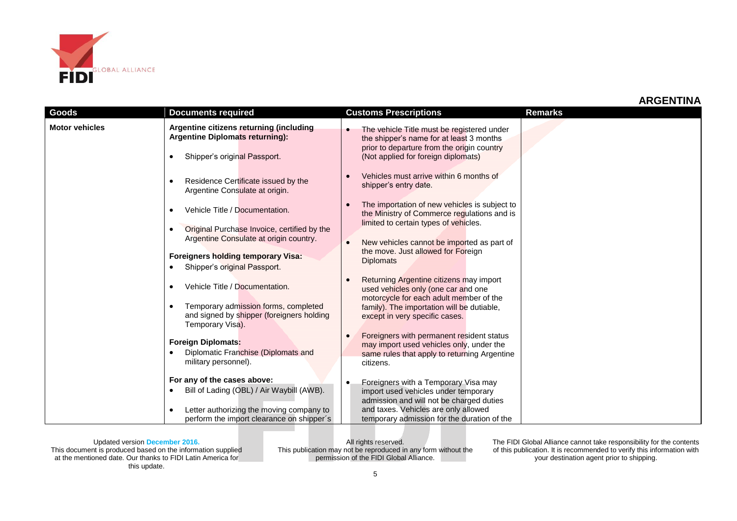

|                       |                                                                                                                                                                                                                                                  |                                                                                                                                                                                                                                                                                                                                                                 | ANULIVIIIVA    |
|-----------------------|--------------------------------------------------------------------------------------------------------------------------------------------------------------------------------------------------------------------------------------------------|-----------------------------------------------------------------------------------------------------------------------------------------------------------------------------------------------------------------------------------------------------------------------------------------------------------------------------------------------------------------|----------------|
| <b>Goods</b>          | <b>Documents required</b>                                                                                                                                                                                                                        | <b>Customs Prescriptions</b>                                                                                                                                                                                                                                                                                                                                    | <b>Remarks</b> |
| <b>Motor vehicles</b> | Argentine citizens returning (including<br>Argentine Diplomats returning):<br>Shipper's original Passport.<br>$\bullet$<br>Residence Certificate issued by the<br>$\bullet$<br>Argentine Consulate at origin.                                    | The vehicle Title must be registered under<br>the shipper's name for at least 3 months<br>prior to departure from the origin country<br>(Not applied for foreign diplomats)<br>Vehicles must arrive within 6 months of<br>shipper's entry date.                                                                                                                 |                |
|                       | Vehicle Title / Documentation.<br>$\bullet$<br>Original Purchase Invoice, certified by the<br>Argentine Consulate at origin country.<br><b>Foreigners holding temporary Visa:</b><br>Shipper's original Passport.                                | The importation of new vehicles is subject to<br>the Ministry of Commerce regulations and is<br>limited to certain types of vehicles.<br>New vehicles cannot be imported as part of<br>$\bullet$<br>the move. Just allowed for Foreign<br><b>Diplomats</b>                                                                                                      |                |
|                       | Vehicle Title / Documentation.<br>$\bullet$<br>Temporary admission forms, completed<br>and signed by shipper (foreigners holding<br>Temporary Visa).<br><b>Foreign Diplomats:</b><br>Diplomatic Franchise (Diplomats and<br>military personnel). | Returning Argentine citizens may import<br>used vehicles only (one car and one<br>motorcycle for each adult member of the<br>family). The importation will be dutiable,<br>except in very specific cases.<br>Foreigners with permanent resident status<br>may import used vehicles only, under the<br>same rules that apply to returning Argentine<br>citizens. |                |
|                       | For any of the cases above:<br>Bill of Lading (OBL) / Air Waybill (AWB).<br>Letter authorizing the moving company to<br>$\bullet$<br>perform the import clearance on shipper's                                                                   | Foreigners with a Temporary Visa may<br>٠<br>import used vehicles under temporary<br>admission and will not be charged duties<br>and taxes. Vehicles are only allowed<br>temporary admission for the duration of the                                                                                                                                            |                |

Updated version **December 2016.** This document is produced based on the information supplied at the mentioned date. Our thanks to FIDI Latin America for this update.

All rights reserved. This publication may not be reproduced in any form without the permission of the FIDI Global Alliance.